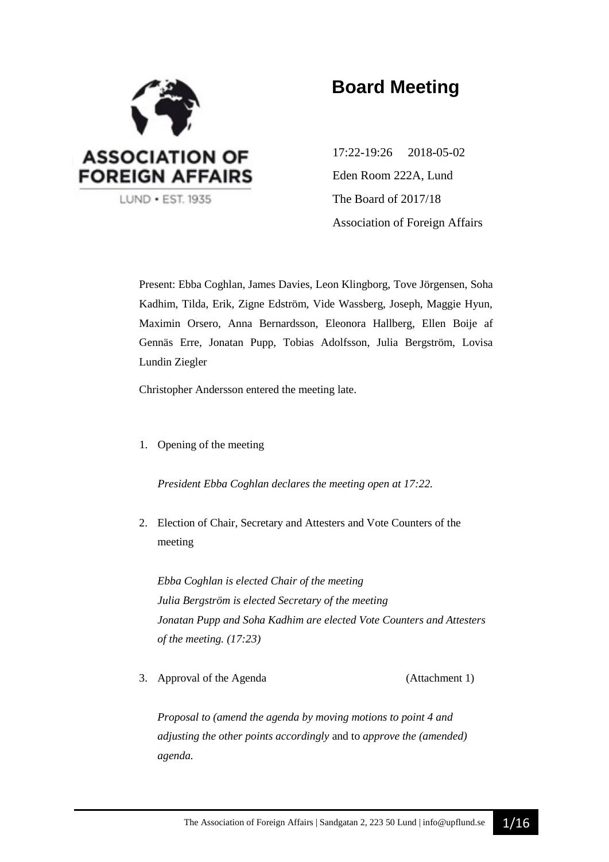

# **Board Meeting**

17:22-19:26 2018-05-02 Eden Room 222A, Lund The Board of 2017/18 Association of Foreign Affairs

Present: Ebba Coghlan, James Davies, Leon Klingborg, Tove Jörgensen, Soha Kadhim, Tilda, Erik, Zigne Edström, Vide Wassberg, Joseph, Maggie Hyun, Maximin Orsero, Anna Bernardsson, Eleonora Hallberg, Ellen Boije af Gennäs Erre, Jonatan Pupp, Tobias Adolfsson, Julia Bergström, Lovisa Lundin Ziegler

Christopher Andersson entered the meeting late.

1. Opening of the meeting

*President Ebba Coghlan declares the meeting open at 17:22.*

2. Election of Chair, Secretary and Attesters and Vote Counters of the meeting

*Ebba Coghlan is elected Chair of the meeting Julia Bergström is elected Secretary of the meeting Jonatan Pupp and Soha Kadhim are elected Vote Counters and Attesters of the meeting. (17:23)*

3. Approval of the Agenda (Attachment 1)

*Proposal to (amend the agenda by moving motions to point 4 and adjusting the other points accordingly* and to *approve the (amended) agenda.*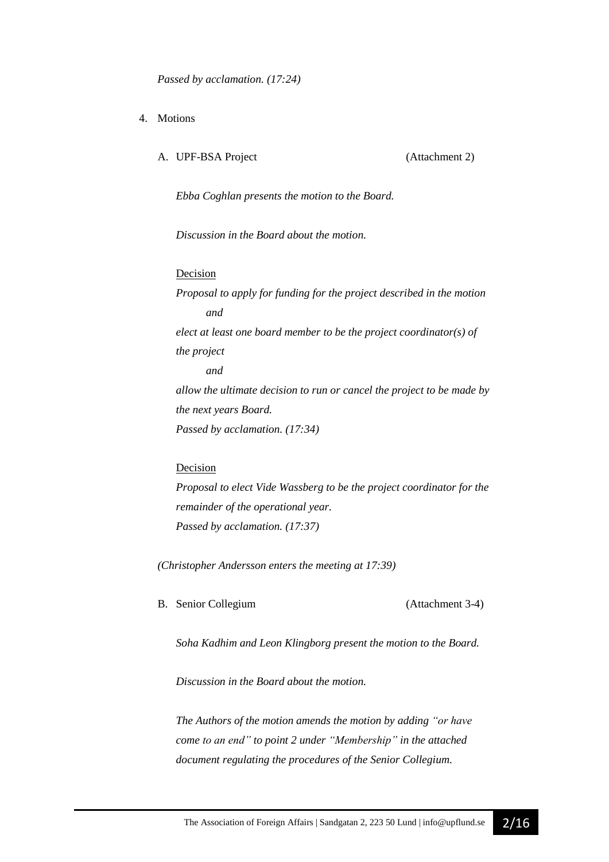- 4. Motions
	- A. UPF-BSA Project (Attachment 2)

*Ebba Coghlan presents the motion to the Board.*

*Discussion in the Board about the motion.*

#### Decision

*Proposal to apply for funding for the project described in the motion and elect at least one board member to be the project coordinator(s) of the project and allow the ultimate decision to run or cancel the project to be made by the next years Board. Passed by acclamation. (17:34)*

#### Decision

*Proposal to elect Vide Wassberg to be the project coordinator for the remainder of the operational year. Passed by acclamation. (17:37)*

*(Christopher Andersson enters the meeting at 17:39)*

B. Senior Collegium (Attachment 3-4)

*Soha Kadhim and Leon Klingborg present the motion to the Board.*

*Discussion in the Board about the motion.*

*The Authors of the motion amends the motion by adding "or have come to an end" to point 2 under "Membership" in the attached document regulating the procedures of the Senior Collegium.*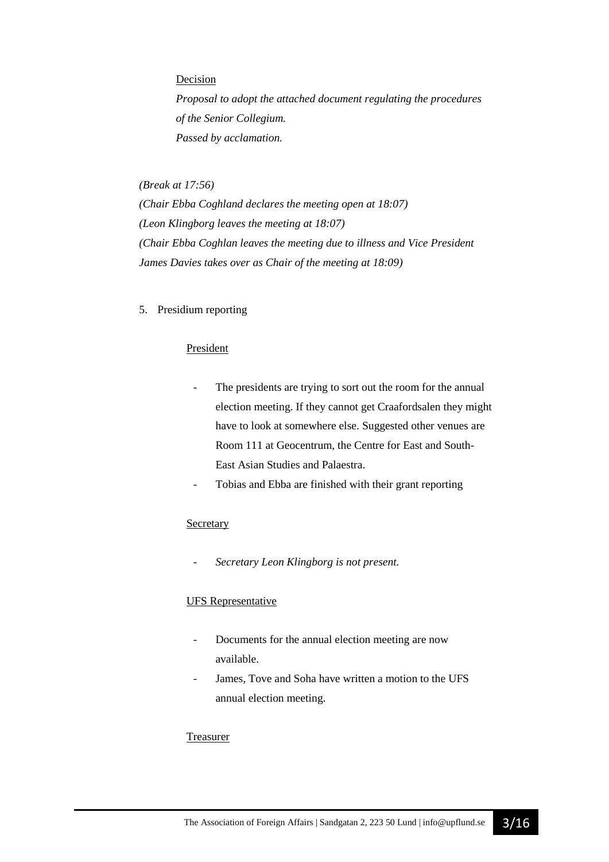#### Decision

*Proposal to adopt the attached document regulating the procedures of the Senior Collegium. Passed by acclamation.* 

#### *(Break at 17:56)*

*(Chair Ebba Coghland declares the meeting open at 18:07) (Leon Klingborg leaves the meeting at 18:07) (Chair Ebba Coghlan leaves the meeting due to illness and Vice President James Davies takes over as Chair of the meeting at 18:09)*

#### 5. Presidium reporting

#### President

- The presidents are trying to sort out the room for the annual election meeting. If they cannot get Craafordsalen they might have to look at somewhere else. Suggested other venues are Room 111 at Geocentrum, the Centre for East and South-East Asian Studies and Palaestra.
- Tobias and Ebba are finished with their grant reporting

#### **Secretary**

- *Secretary Leon Klingborg is not present.*

#### UFS Representative

- Documents for the annual election meeting are now available.
- James, Tove and Soha have written a motion to the UFS annual election meeting.

#### Treasurer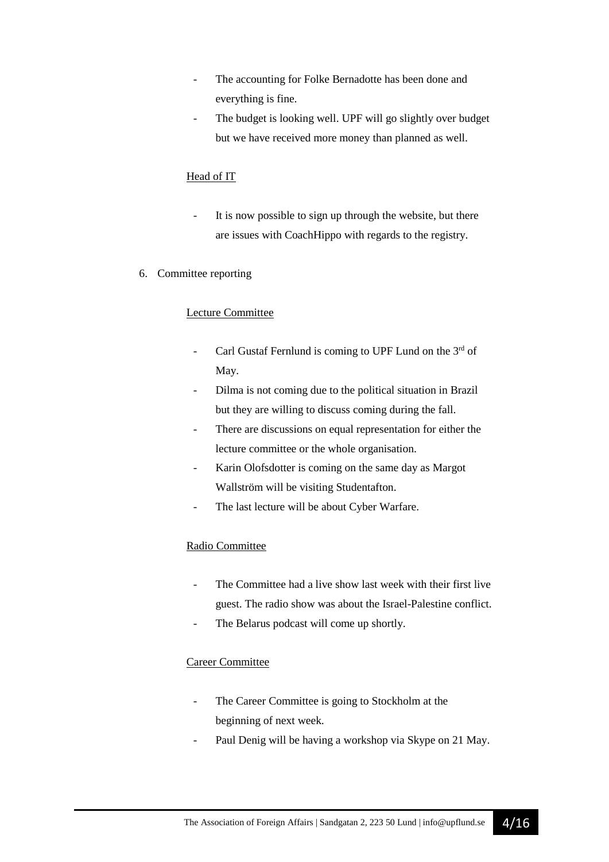- The accounting for Folke Bernadotte has been done and everything is fine.
- The budget is looking well. UPF will go slightly over budget but we have received more money than planned as well.

#### Head of IT

- It is now possible to sign up through the website, but there are issues with CoachHippo with regards to the registry.
- 6. Committee reporting

#### Lecture Committee

- Carl Gustaf Fernlund is coming to UPF Lund on the 3rd of May.
- Dilma is not coming due to the political situation in Brazil but they are willing to discuss coming during the fall.
- There are discussions on equal representation for either the lecture committee or the whole organisation.
- Karin Olofsdotter is coming on the same day as Margot Wallström will be visiting Studentafton.
- The last lecture will be about Cyber Warfare.

#### Radio Committee

- The Committee had a live show last week with their first live guest. The radio show was about the Israel-Palestine conflict.
- The Belarus podcast will come up shortly.

#### Career Committee

- The Career Committee is going to Stockholm at the beginning of next week.
- Paul Denig will be having a workshop via Skype on 21 May.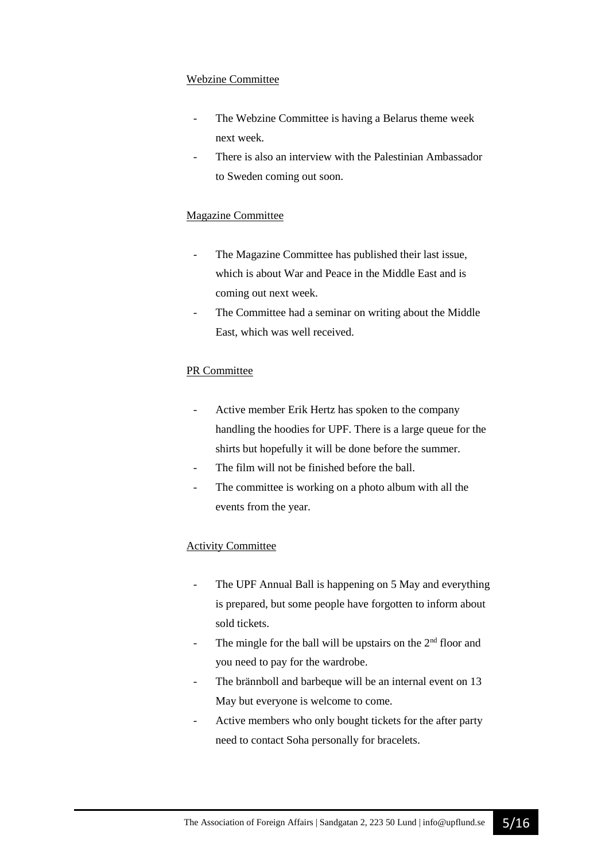#### Webzine Committee

- The Webzine Committee is having a Belarus theme week next week.
- There is also an interview with the Palestinian Ambassador to Sweden coming out soon.

#### Magazine Committee

- The Magazine Committee has published their last issue, which is about War and Peace in the Middle East and is coming out next week.
- The Committee had a seminar on writing about the Middle East, which was well received.

#### PR Committee

- Active member Erik Hertz has spoken to the company handling the hoodies for UPF. There is a large queue for the shirts but hopefully it will be done before the summer.
- The film will not be finished before the ball.
- The committee is working on a photo album with all the events from the year.

#### Activity Committee

- The UPF Annual Ball is happening on 5 May and everything is prepared, but some people have forgotten to inform about sold tickets.
- The mingle for the ball will be upstairs on the  $2<sup>nd</sup>$  floor and you need to pay for the wardrobe.
- The brännboll and barbeque will be an internal event on 13 May but everyone is welcome to come.
- Active members who only bought tickets for the after party need to contact Soha personally for bracelets.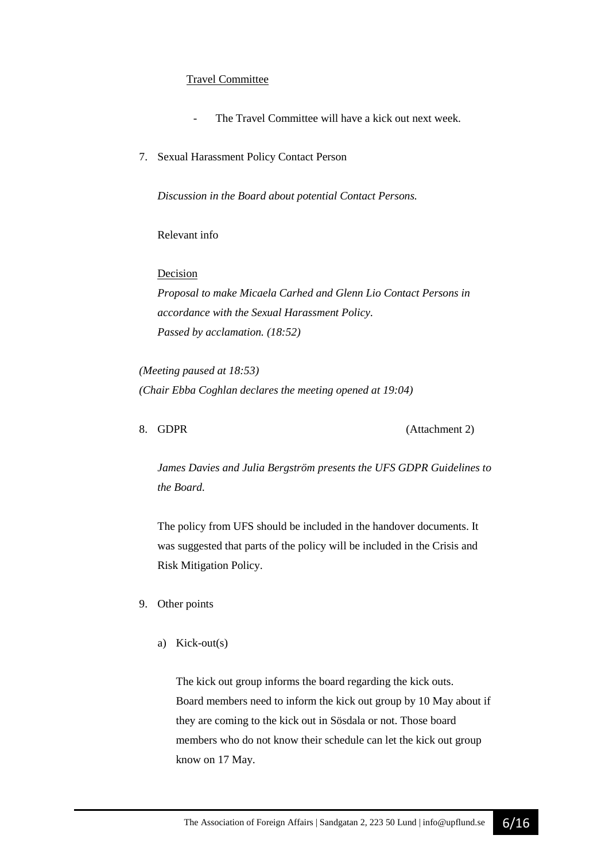#### Travel Committee

- The Travel Committee will have a kick out next week.
- 7. Sexual Harassment Policy Contact Person

*Discussion in the Board about potential Contact Persons.*

Relevant info

**Decision** 

*Proposal to make Micaela Carhed and Glenn Lio Contact Persons in accordance with the Sexual Harassment Policy. Passed by acclamation. (18:52)*

*(Meeting paused at 18:53) (Chair Ebba Coghlan declares the meeting opened at 19:04)*

8. GDPR (Attachment 2)

*James Davies and Julia Bergström presents the UFS GDPR Guidelines to the Board.*

The policy from UFS should be included in the handover documents. It was suggested that parts of the policy will be included in the Crisis and Risk Mitigation Policy.

#### 9. Other points

a) Kick-out(s)

The kick out group informs the board regarding the kick outs. Board members need to inform the kick out group by 10 May about if they are coming to the kick out in Sösdala or not. Those board members who do not know their schedule can let the kick out group know on 17 May.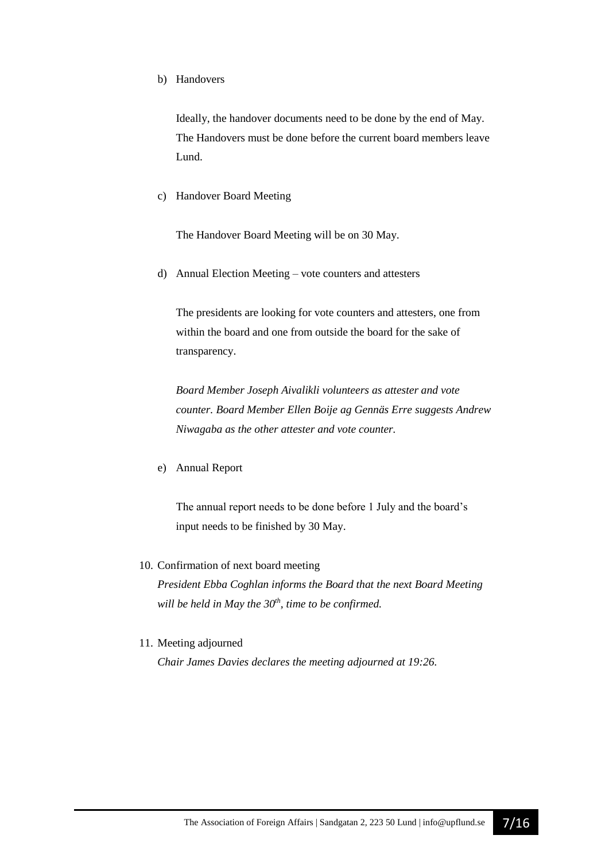b) Handovers

Ideally, the handover documents need to be done by the end of May. The Handovers must be done before the current board members leave Lund.

c) Handover Board Meeting

The Handover Board Meeting will be on 30 May.

d) Annual Election Meeting – vote counters and attesters

The presidents are looking for vote counters and attesters, one from within the board and one from outside the board for the sake of transparency.

*Board Member Joseph Aivalikli volunteers as attester and vote counter. Board Member Ellen Boije ag Gennäs Erre suggests Andrew Niwagaba as the other attester and vote counter.* 

e) Annual Report

The annual report needs to be done before 1 July and the board's input needs to be finished by 30 May.

10. Confirmation of next board meeting

*President Ebba Coghlan informs the Board that the next Board Meeting will be held in May the 30th, time to be confirmed.* 

11. Meeting adjourned

*Chair James Davies declares the meeting adjourned at 19:26.*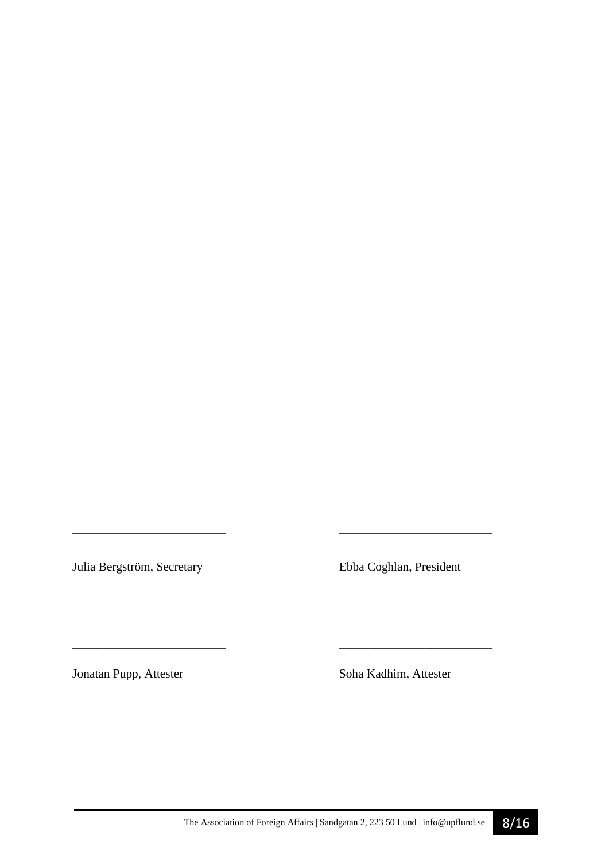Julia Bergström, Secretary Ebba Coghlan, President

*\_\_\_\_\_\_\_\_\_\_\_\_\_\_\_\_\_\_\_\_\_\_\_\_\_ \_\_\_\_\_\_\_\_\_\_\_\_\_\_\_\_\_\_\_\_\_\_\_\_\_* 

\_\_\_\_\_\_\_\_\_\_\_\_\_\_\_\_\_\_\_\_\_\_\_\_\_ \_\_\_\_\_\_\_\_\_\_\_\_\_\_\_\_\_\_\_\_\_\_\_\_\_

Jonatan Pupp, Attester Soha Kadhim, Attester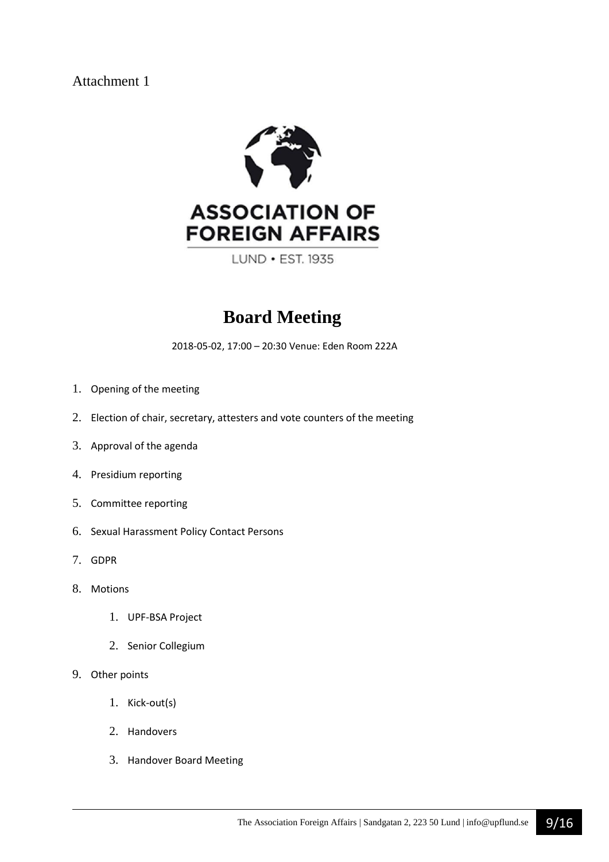Attachment 1



LUND • EST. 1935

# **Board Meeting**

2018-05-02, 17:00 – 20:30 Venue: Eden Room 222A

- 1. Opening of the meeting
- 2. Election of chair, secretary, attesters and vote counters of the meeting
- 3. Approval of the agenda
- 4. Presidium reporting
- 5. Committee reporting
- 6. Sexual Harassment Policy Contact Persons
- 7. GDPR
- 8. Motions
	- 1. UPF-BSA Project
	- 2. Senior Collegium
- 9. Other points
	- 1. Kick-out(s)
	- 2. Handovers
	- 3. Handover Board Meeting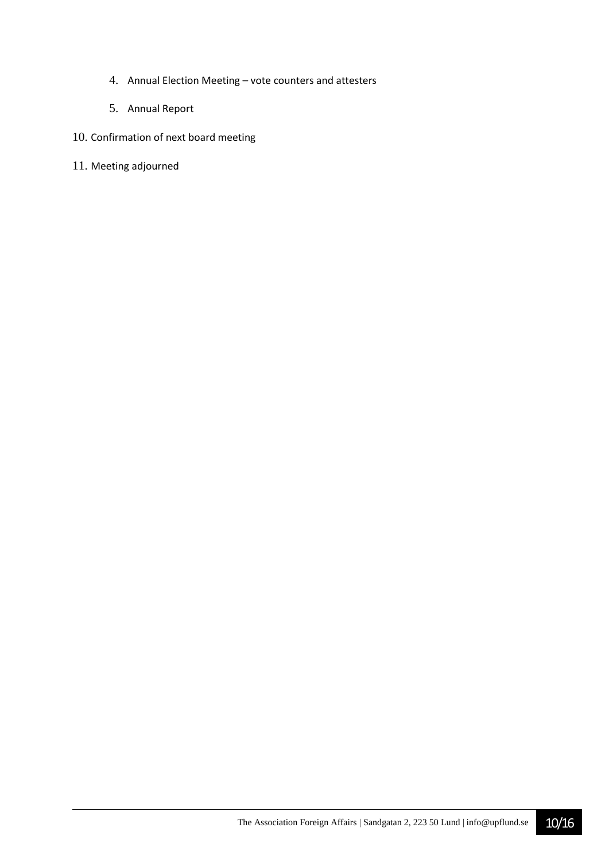- 4. Annual Election Meeting vote counters and attesters
- 5. Annual Report

#### 10. Confirmation of next board meeting

11. Meeting adjourned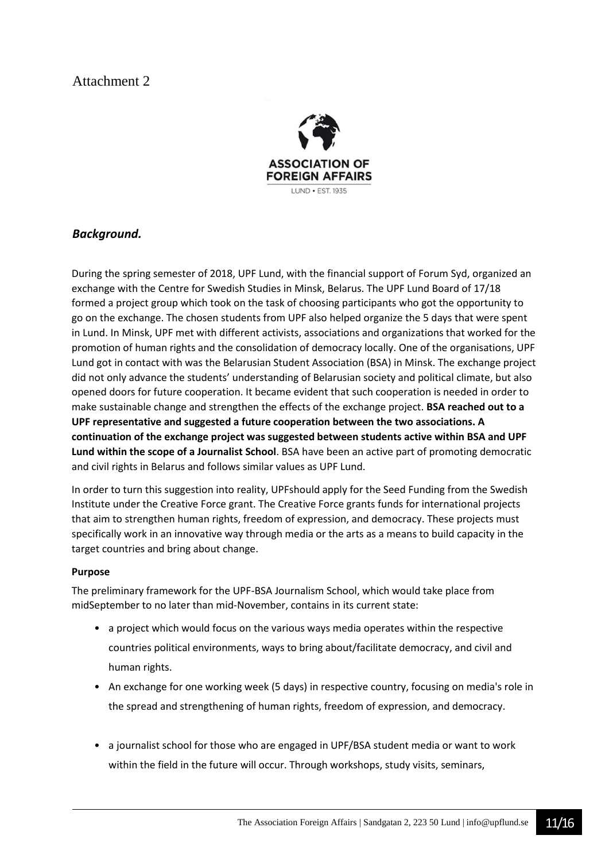## Attachment 2



#### *Background.*

During the spring semester of 2018, UPF Lund, with the financial support of Forum Syd, organized an exchange with the Centre for Swedish Studies in Minsk, Belarus. The UPF Lund Board of 17/18 formed a project group which took on the task of choosing participants who got the opportunity to go on the exchange. The chosen students from UPF also helped organize the 5 days that were spent in Lund. In Minsk, UPF met with different activists, associations and organizations that worked for the promotion of human rights and the consolidation of democracy locally. One of the organisations, UPF Lund got in contact with was the Belarusian Student Association (BSA) in Minsk. The exchange project did not only advance the students' understanding of Belarusian society and political climate, but also opened doors for future cooperation. It became evident that such cooperation is needed in order to make sustainable change and strengthen the effects of the exchange project. **BSA reached out to a UPF representative and suggested a future cooperation between the two associations. A continuation of the exchange project was suggested between students active within BSA and UPF Lund within the scope of a Journalist School**. BSA have been an active part of promoting democratic and civil rights in Belarus and follows similar values as UPF Lund.

In order to turn this suggestion into reality, UPFshould apply for the Seed Funding from the Swedish Institute under the Creative Force grant. The Creative Force grants funds for international projects that aim to strengthen human rights, freedom of expression, and democracy. These projects must specifically work in an innovative way through media or the arts as a means to build capacity in the target countries and bring about change.

#### **Purpose**

The preliminary framework for the UPF-BSA Journalism School, which would take place from midSeptember to no later than mid-November, contains in its current state:

- a project which would focus on the various ways media operates within the respective countries political environments, ways to bring about/facilitate democracy, and civil and human rights.
- An exchange for one working week (5 days) in respective country, focusing on media's role in the spread and strengthening of human rights, freedom of expression, and democracy.
- a journalist school for those who are engaged in UPF/BSA student media or want to work within the field in the future will occur. Through workshops, study visits, seminars,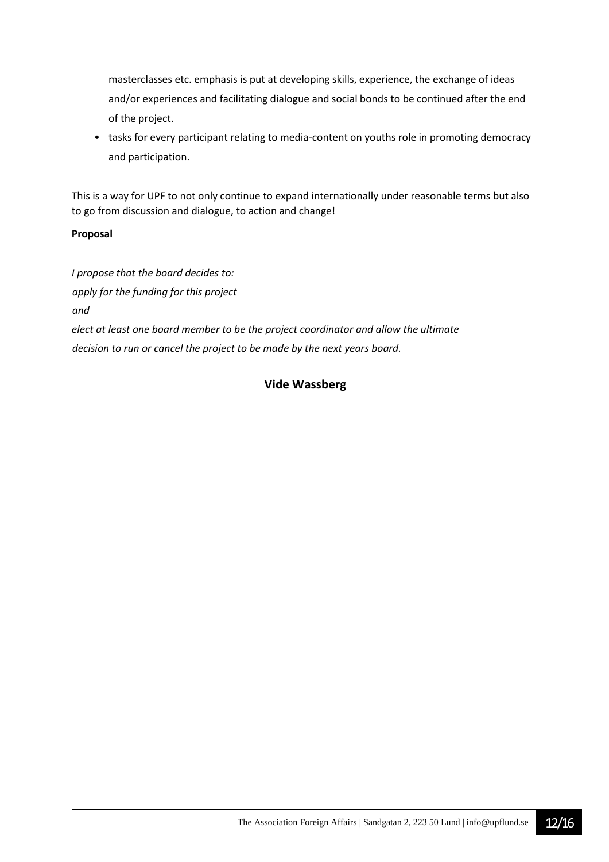masterclasses etc. emphasis is put at developing skills, experience, the exchange of ideas and/or experiences and facilitating dialogue and social bonds to be continued after the end of the project.

• tasks for every participant relating to media-content on youths role in promoting democracy and participation.

This is a way for UPF to not only continue to expand internationally under reasonable terms but also to go from discussion and dialogue, to action and change!

#### **Proposal**

*I propose that the board decides to: apply for the funding for this project and elect at least one board member to be the project coordinator and allow the ultimate decision to run or cancel the project to be made by the next years board.*

#### **Vide Wassberg**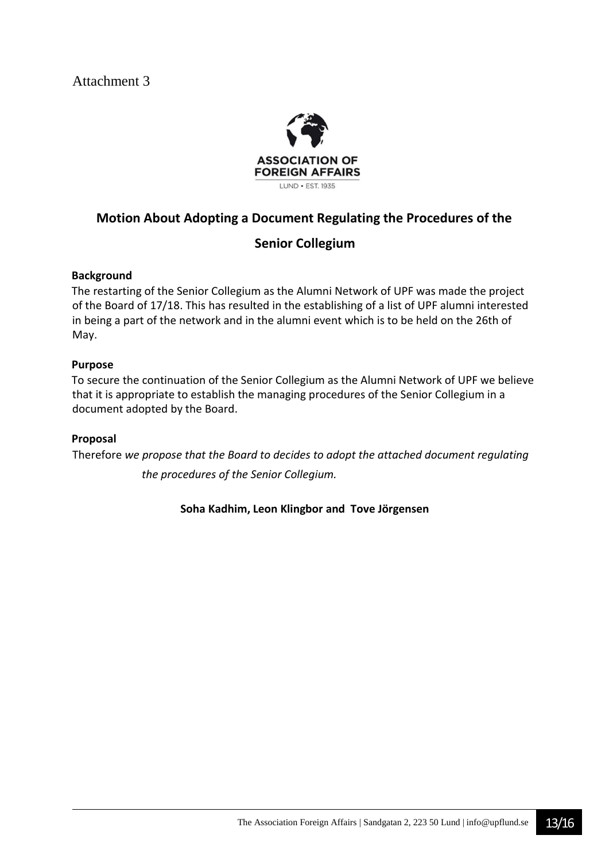

### **Motion About Adopting a Document Regulating the Procedures of the**

### **Senior Collegium**

#### **Background**

The restarting of the Senior Collegium as the Alumni Network of UPF was made the project of the Board of 17/18. This has resulted in the establishing of a list of UPF alumni interested in being a part of the network and in the alumni event which is to be held on the 26th of May.

#### **Purpose**

To secure the continuation of the Senior Collegium as the Alumni Network of UPF we believe that it is appropriate to establish the managing procedures of the Senior Collegium in a document adopted by the Board.

#### **Proposal**

Therefore *we propose that the Board to decides to adopt the attached document regulating the procedures of the Senior Collegium.*

#### **Soha Kadhim, Leon Klingbor and Tove Jörgensen**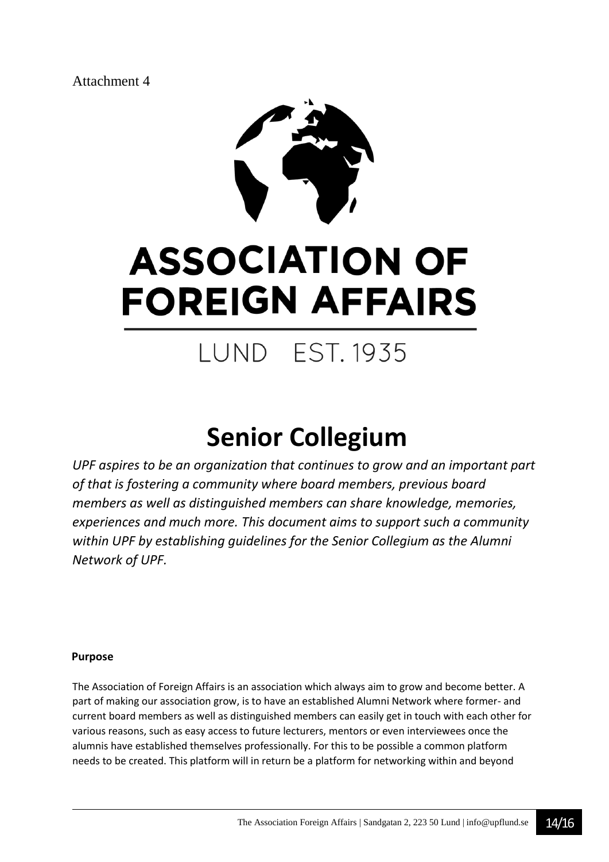Attachment 4



# **ASSOCIATION OF FOREIGN AFFAIRS**

# **LUND EST. 1935**

# **Senior Collegium**

*UPF aspires to be an organization that continues to grow and an important part of that is fostering a community where board members, previous board members as well as distinguished members can share knowledge, memories, experiences and much more. This document aims to support such a community within UPF by establishing guidelines for the Senior Collegium as the Alumni Network of UPF.* 

#### **Purpose**

The Association of Foreign Affairs is an association which always aim to grow and become better. A part of making our association grow, is to have an established Alumni Network where former- and current board members as well as distinguished members can easily get in touch with each other for various reasons, such as easy access to future lecturers, mentors or even interviewees once the alumnis have established themselves professionally. For this to be possible a common platform needs to be created. This platform will in return be a platform for networking within and beyond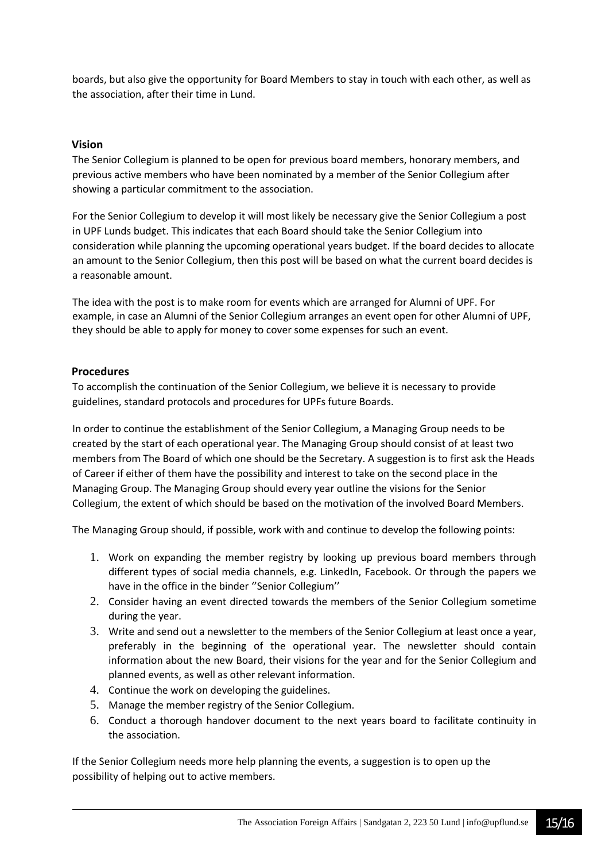boards, but also give the opportunity for Board Members to stay in touch with each other, as well as the association, after their time in Lund.

#### **Vision**

The Senior Collegium is planned to be open for previous board members, honorary members, and previous active members who have been nominated by a member of the Senior Collegium after showing a particular commitment to the association.

For the Senior Collegium to develop it will most likely be necessary give the Senior Collegium a post in UPF Lunds budget. This indicates that each Board should take the Senior Collegium into consideration while planning the upcoming operational years budget. If the board decides to allocate an amount to the Senior Collegium, then this post will be based on what the current board decides is a reasonable amount.

The idea with the post is to make room for events which are arranged for Alumni of UPF. For example, in case an Alumni of the Senior Collegium arranges an event open for other Alumni of UPF, they should be able to apply for money to cover some expenses for such an event.

#### **Procedures**

To accomplish the continuation of the Senior Collegium, we believe it is necessary to provide guidelines, standard protocols and procedures for UPFs future Boards.

In order to continue the establishment of the Senior Collegium, a Managing Group needs to be created by the start of each operational year. The Managing Group should consist of at least two members from The Board of which one should be the Secretary. A suggestion is to first ask the Heads of Career if either of them have the possibility and interest to take on the second place in the Managing Group. The Managing Group should every year outline the visions for the Senior Collegium, the extent of which should be based on the motivation of the involved Board Members.

The Managing Group should, if possible, work with and continue to develop the following points:

- 1. Work on expanding the member registry by looking up previous board members through different types of social media channels, e.g. LinkedIn, Facebook. Or through the papers we have in the office in the binder ''Senior Collegium''
- 2. Consider having an event directed towards the members of the Senior Collegium sometime during the year.
- 3. Write and send out a newsletter to the members of the Senior Collegium at least once a year, preferably in the beginning of the operational year. The newsletter should contain information about the new Board, their visions for the year and for the Senior Collegium and planned events, as well as other relevant information.
- 4. Continue the work on developing the guidelines.
- 5. Manage the member registry of the Senior Collegium.
- 6. Conduct a thorough handover document to the next years board to facilitate continuity in the association.

If the Senior Collegium needs more help planning the events, a suggestion is to open up the possibility of helping out to active members.